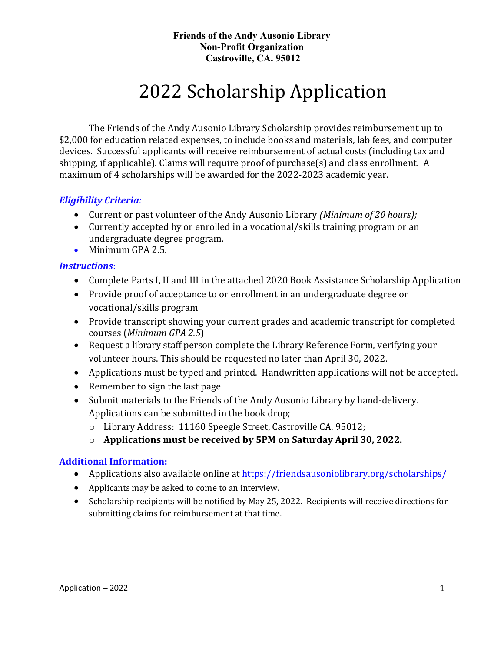# 2022 Scholarship Application

The Friends of the Andy Ausonio Library Scholarship provides reimbursement up to \$2,000 for education related expenses, to include books and materials, lab fees, and computer devices. Successful applicants will receive reimbursement of actual costs (including tax and shipping, if applicable). Claims will require proof of purchase(s) and class enrollment. A maximum of 4 scholarships will be awarded for the 2022-2023 academic year.

#### *Eligibility Criteria:*

- Current or past volunteer of the Andy Ausonio Library *(Minimum of 20 hours);*
- Currently accepted by or enrolled in a vocational/skills training program or an undergraduate degree program.
- Minimum GPA 2.5.

#### *Instructions*:

- Complete Parts I, II and III in the attached 2020 Book Assistance Scholarship Application
- Provide proof of acceptance to or enrollment in an undergraduate degree or vocational/skills program
- Provide transcript showing your current grades and academic transcript for completed courses (*Minimum GPA 2.5*)
- Request a library staff person complete the Library Reference Form, verifying your volunteer hours. This should be requested no later than April 30, 2022.
- Applications must be typed and printed. Handwritten applications will not be accepted.
- Remember to sign the last page
- Submit materials to the Friends of the Andy Ausonio Library by hand-delivery. Applications can be submitted in the book drop;
	- o Library Address: 11160 Speegle Street, Castroville CA. 95012;
	- o **Applications must be received by 5PM on Saturday April 30, 2022.**

#### **Additional Information:**

- Applications also available online at<https://friendsausoniolibrary.org/scholarships/>
- Applicants may be asked to come to an interview.
- Scholarship recipients will be notified by May 25, 2022. Recipients will receive directions for submitting claims for reimbursement at that time.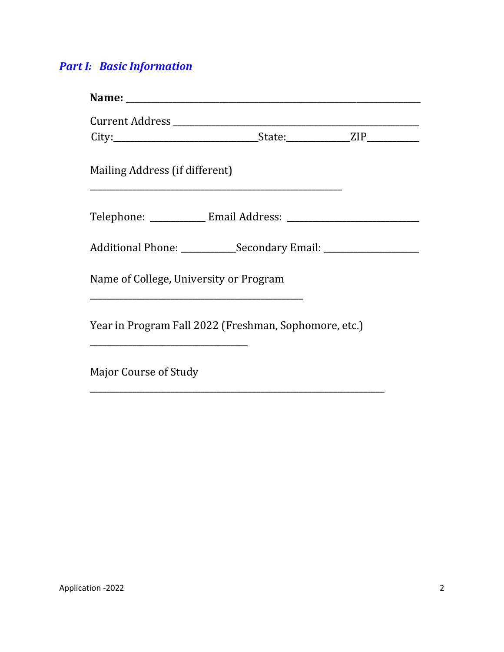# *Part I: Basic Information*

| Mailing Address (if different)                                                   | <u> 1989 - Johann Stoff, deutscher Stoff, der Stoff, der Stoff, der Stoff, der Stoff, der Stoff, der Stoff, der S</u> |  |
|----------------------------------------------------------------------------------|-----------------------------------------------------------------------------------------------------------------------|--|
|                                                                                  |                                                                                                                       |  |
| Additional Phone: ______________Secondary Email: _______________________________ |                                                                                                                       |  |
| Name of College, University or Program                                           |                                                                                                                       |  |
| Year in Program Fall 2022 (Freshman, Sophomore, etc.)                            |                                                                                                                       |  |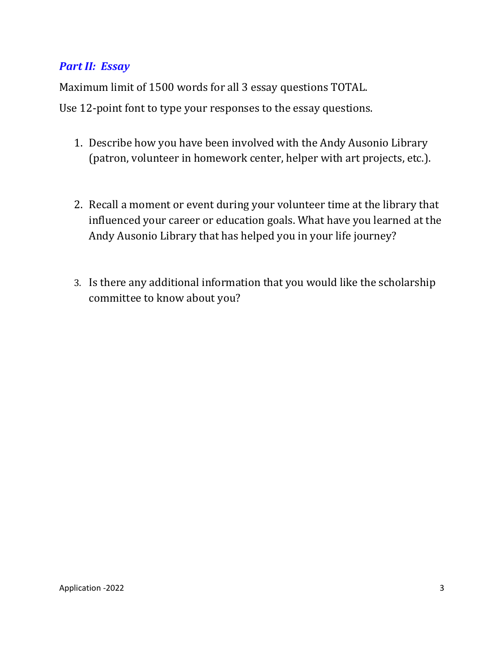## *Part II: Essay*

Maximum limit of 1500 words for all 3 essay questions TOTAL.

Use 12-point font to type your responses to the essay questions.

- 1. Describe how you have been involved with the Andy Ausonio Library (patron, volunteer in homework center, helper with art projects, etc.).
- 2. Recall a moment or event during your volunteer time at the library that influenced your career or education goals. What have you learned at the Andy Ausonio Library that has helped you in your life journey?
- 3. Is there any additional information that you would like the scholarship committee to know about you?